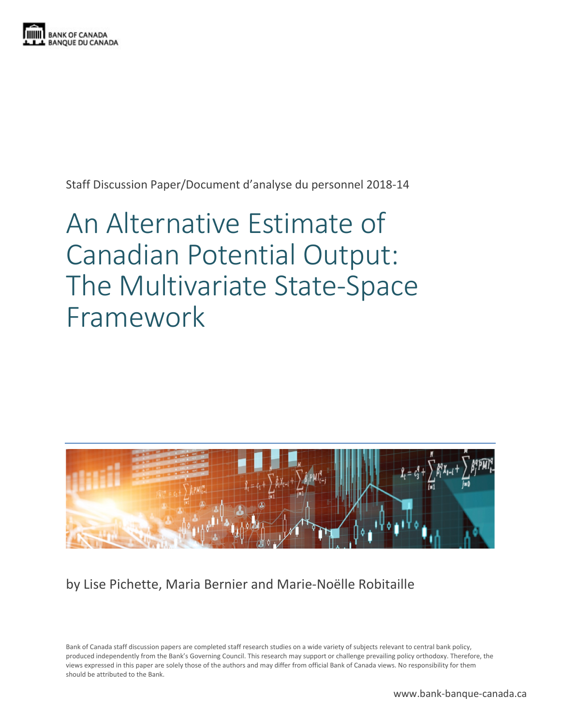

Staff Discussion Paper/Document d'analyse du personnel 2018-14

# An Alternative Estimate of Canadian Potential Output: The Multivariate State-Space Framework



by Lise Pichette, Maria Bernier and Marie-Noëlle Robitaille

Bank of Canada staff discussion papers are completed staff research studies on a wide variety of subjects relevant to central bank policy, produced independently from the Bank's Governing Council. This research may support or challenge prevailing policy orthodoxy. Therefore, the views expressed in this paper are solely those of the authors and may differ from official Bank of Canada views. No responsibility for them should be attributed to the Bank.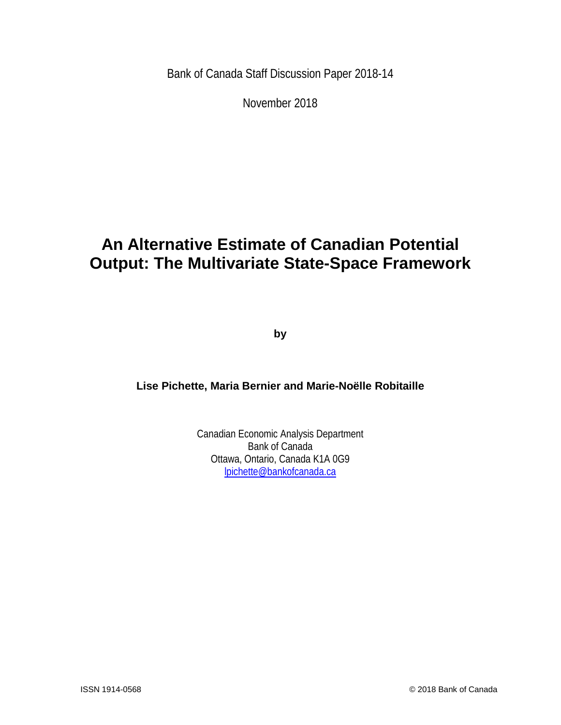Bank of Canada Staff Discussion Paper 2018-14

November 2018

# **An Alternative Estimate of Canadian Potential Output: The Multivariate State-Space Framework**

**by**

**Lise Pichette, Maria Bernier and Marie-Noëlle Robitaille**

Canadian Economic Analysis Department Bank of Canada Ottawa, Ontario, Canada K1A 0G9 [lpichette@bankofcanada.ca](mailto:lpichette@bankofcanada.ca)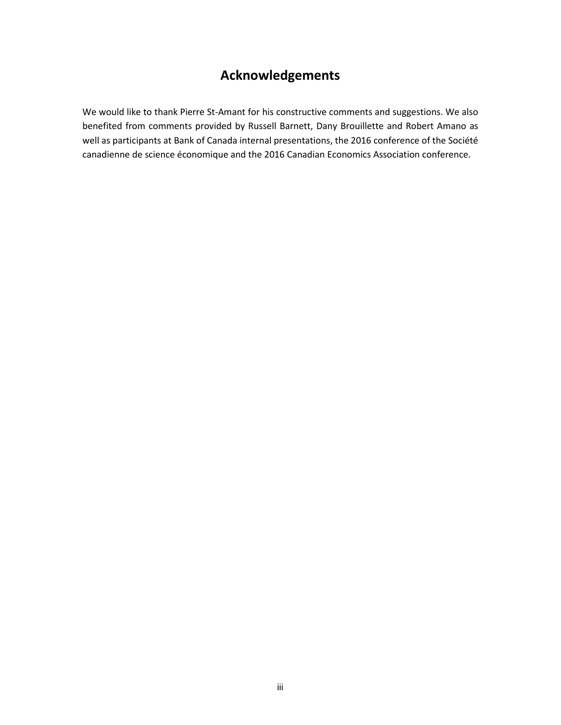# **Acknowledgements**

We would like to thank Pierre St-Amant for his constructive comments and suggestions. We also benefited from comments provided by Russell Barnett, Dany Brouillette and Robert Amano as well as participants at Bank of Canada internal presentations, the 2016 conference of the Société canadienne de science économique and the 2016 Canadian Economics Association conference.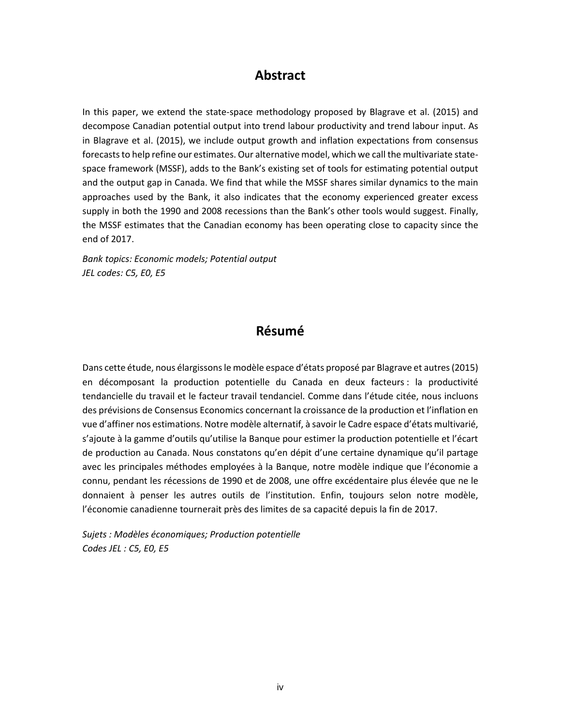# **Abstract**

In this paper, we extend the state-space methodology proposed by Blagrave et al. (2015) and decompose Canadian potential output into trend labour productivity and trend labour input. As in Blagrave et al. (2015), we include output growth and inflation expectations from consensus forecasts to help refine our estimates. Our alternative model, which we call the multivariate statespace framework (MSSF), adds to the Bank's existing set of tools for estimating potential output and the output gap in Canada. We find that while the MSSF shares similar dynamics to the main approaches used by the Bank, it also indicates that the economy experienced greater excess supply in both the 1990 and 2008 recessions than the Bank's other tools would suggest. Finally, the MSSF estimates that the Canadian economy has been operating close to capacity since the end of 2017.

*Bank topics: Economic models; Potential output JEL codes: C5, E0, E5*

# **Résumé**

Dans cette étude, nous élargissons le modèle espace d'états proposé par Blagrave et autres (2015) en décomposant la production potentielle du Canada en deux facteurs : la productivité tendancielle du travail et le facteur travail tendanciel. Comme dans l'étude citée, nous incluons des prévisions de Consensus Economics concernant la croissance de la production et l'inflation en vue d'affiner nos estimations. Notre modèle alternatif, à savoir le Cadre espace d'états multivarié, s'ajoute à la gamme d'outils qu'utilise la Banque pour estimer la production potentielle et l'écart de production au Canada. Nous constatons qu'en dépit d'une certaine dynamique qu'il partage avec les principales méthodes employées à la Banque, notre modèle indique que l'économie a connu, pendant les récessions de 1990 et de 2008, une offre excédentaire plus élevée que ne le donnaient à penser les autres outils de l'institution. Enfin, toujours selon notre modèle, l'économie canadienne tournerait près des limites de sa capacité depuis la fin de 2017.

*Sujets : Modèles économiques; Production potentielle Codes JEL : C5, E0, E5*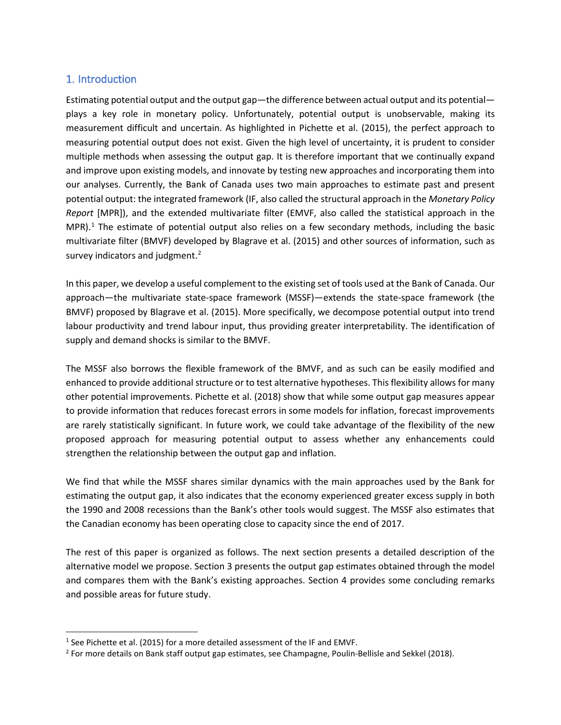### 1. Introduction

Estimating potential output and the output gap—the difference between actual output and its potential plays a key role in monetary policy. Unfortunately, potential output is unobservable, making its measurement difficult and uncertain. As highlighted in Pichette et al. (2015), the perfect approach to measuring potential output does not exist. Given the high level of uncertainty, it is prudent to consider multiple methods when assessing the output gap. It is therefore important that we continually expand and improve upon existing models, and innovate by testing new approaches and incorporating them into our analyses. Currently, the Bank of Canada uses two main approaches to estimate past and present potential output: the integrated framework (IF, also called the structural approach in the *Monetary Policy Report* [MPR]), and the extended multivariate filter (EMVF, also called the statistical approach in the MPR).<sup>[1](#page-4-0)</sup> The estimate of potential output also relies on a few secondary methods, including the basic multivariate filter (BMVF) developed by Blagrave et al. (2015) and other sources of information, such as survey indicators and judgment.<sup>[2](#page-4-1)</sup>

In this paper, we develop a useful complement to the existing set of tools used at the Bank of Canada. Our approach—the multivariate state-space framework (MSSF)—extends the state-space framework (the BMVF) proposed by Blagrave et al. (2015). More specifically, we decompose potential output into trend labour productivity and trend labour input, thus providing greater interpretability. The identification of supply and demand shocks is similar to the BMVF.

The MSSF also borrows the flexible framework of the BMVF, and as such can be easily modified and enhanced to provide additional structure or to test alternative hypotheses. This flexibility allows for many other potential improvements. Pichette et al. (2018) show that while some output gap measures appear to provide information that reduces forecast errors in some models for inflation, forecast improvements are rarely statistically significant. In future work, we could take advantage of the flexibility of the new proposed approach for measuring potential output to assess whether any enhancements could strengthen the relationship between the output gap and inflation.

We find that while the MSSF shares similar dynamics with the main approaches used by the Bank for estimating the output gap, it also indicates that the economy experienced greater excess supply in both the 1990 and 2008 recessions than the Bank's other tools would suggest. The MSSF also estimates that the Canadian economy has been operating close to capacity since the end of 2017.

The rest of this paper is organized as follows. The next section presents a detailed description of the alternative model we propose. Section 3 presents the output gap estimates obtained through the model and compares them with the Bank's existing approaches. Section 4 provides some concluding remarks and possible areas for future study.

<span id="page-4-0"></span><sup>&</sup>lt;sup>1</sup> See Pichette et al. (2015) for a more detailed assessment of the IF and EMVF.

<span id="page-4-1"></span><sup>&</sup>lt;sup>2</sup> For more details on Bank staff output gap estimates, see Champagne, Poulin-Bellisle and Sekkel (2018).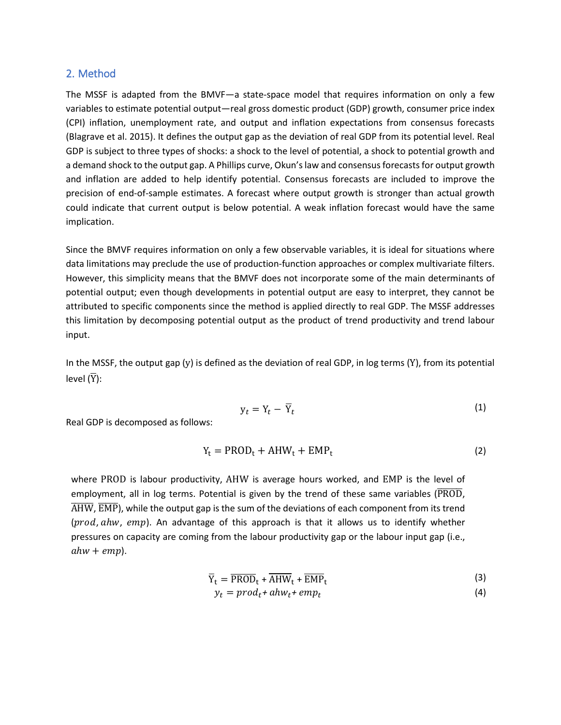#### 2. Method

The MSSF is adapted from the BMVF—a state-space model that requires information on only a few variables to estimate potential output—real gross domestic product (GDP) growth, consumer price index (CPI) inflation, unemployment rate, and output and inflation expectations from consensus forecasts (Blagrave et al. 2015). It defines the output gap as the deviation of real GDP from its potential level. Real GDP is subject to three types of shocks: a shock to the level of potential, a shock to potential growth and a demand shock to the output gap. A Phillips curve, Okun's law and consensus forecasts for output growth and inflation are added to help identify potential. Consensus forecasts are included to improve the precision of end-of-sample estimates. A forecast where output growth is stronger than actual growth could indicate that current output is below potential. A weak inflation forecast would have the same implication.

Since the BMVF requires information on only a few observable variables, it is ideal for situations where data limitations may preclude the use of production-function approaches or complex multivariate filters. However, this simplicity means that the BMVF does not incorporate some of the main determinants of potential output; even though developments in potential output are easy to interpret, they cannot be attributed to specific components since the method is applied directly to real GDP. The MSSF addresses this limitation by decomposing potential output as the product of trend productivity and trend labour input.

In the MSSF, the output gap (y) is defined as the deviation of real GDP, in log terms (Y), from its potential level  $(\overline{Y})$ :

$$
y_t = Y_t - \overline{Y}_t \tag{1}
$$

Real GDP is decomposed as follows:

$$
Y_t = \text{PROD}_t + AHW_t + EMP_t \tag{2}
$$

where PROD is labour productivity, AHW is average hours worked, and EMP is the level of employment, all in log terms. Potential is given by the trend of these same variables ( $\overline{\text{PROD}}$ ,  $\overline{\text{AHW}}$ ,  $\overline{\text{EMP}}$ ), while the output gap is the sum of the deviations of each component from its trend  $(prod, ahw, emp)$ . An advantage of this approach is that it allows us to identify whether pressures on capacity are coming from the labour productivity gap or the labour input gap (i.e.,  $ahw + emp$ ).

$$
\overline{Y}_t = \overline{PROD}_t + \overline{AHW}_t + \overline{EMP}_t
$$
\n(3)

$$
y_t = \text{prod}_t + ahw_t + \text{emp}_t \tag{4}
$$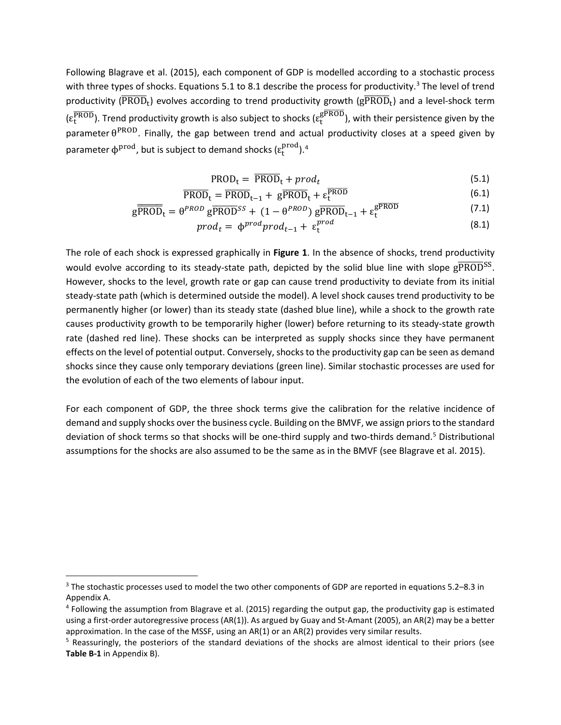Following Blagrave et al. (2015), each component of GDP is modelled according to a stochastic process with three types of shocks. Equations 5.1 to 8.1 describe the process for productivity.<sup>3</sup> The level of trend productivity ( $\overline{\text{PROD}}_t$ ) evolves according to trend productivity growth ( $g\overline{\text{PROD}}_t$ ) and a level-shock term  $(\epsilon_t^{\overline{\text{PROD}}})$ . Trend productivity growth is also subject to shocks  $(\epsilon_t^{\overline{\text{SPROD}}})$ , with their persistence given by the parameter  $\theta^{PROD}$ . Finally, the gap between trend and actual productivity closes at a speed given by parameter  $\phi^{prod}$ , but is subject to demand shocks ( $\varepsilon_t^{prod}$ ).<sup>4</sup>

$$
PROD_t = \overline{PROD}_t + prod_t \tag{5.1}
$$

$$
\overline{PROD}_t = \overline{PROD}_{t-1} + g\overline{PROD}_t + \varepsilon_t^{PROD}
$$
\n(6.1)

$$
g\overline{PROD}_{t} = \theta^{PROD} g\overline{PROD}^{SS} + (1 - \theta^{PROD}) g\overline{PROD}_{t-1} + \varepsilon_{t}^{gPROD}
$$
\n
$$
(7.1)
$$

$$
prod_t = \phi^{prod} prod_{t-1} + \varepsilon_t^{prod} \tag{8.1}
$$

The role of each shock is expressed graphically in Figure 1. In the absence of shocks, trend productivity would evolve according to its steady-state path, depicted by the solid blue line with slope  $g\overline{PROD}^{SS}$ . However, shocks to the level, growth rate or gap can cause trend productivity to deviate from its initial steady-state path (which is determined outside the model). A level shock causes trend productivity to be permanently higher (or lower) than its steady state (dashed blue line), while a shock to the growth rate causes productivity growth to be temporarily higher (lower) before returning to its steady-state growth rate (dashed red line). These shocks can be interpreted as supply shocks since they have permanent effects on the level of potential output. Conversely, shocks to the productivity gap can be seen as demand shocks since they cause only temporary deviations (green line). Similar stochastic processes are used for the evolution of each of the two elements of labour input.

For each component of GDP, the three shock terms give the calibration for the relative incidence of demand and supply shocks over the business cycle. Building on the BMVF, we assign priors to the standard deviation of shock terms so that shocks will be one-third supply and two-thirds demand.<sup>5</sup> Distributional assumptions for the shocks are also assumed to be the same as in the BMVF (see Blagrave et al. 2015).

<span id="page-6-0"></span><sup>&</sup>lt;sup>3</sup> The stochastic processes used to model the two other components of GDP are reported in equations 5.2–8.3 in Appendix A.

<span id="page-6-1"></span> $4$  Following the assumption from Blagrave et al. (2015) regarding the output gap, the productivity gap is estimated using a first-order autoregressive process (AR(1)). As argued by Guay and St-Amant (2005), an AR(2) may be a better approximation. In the case of the MSSF, using an AR(1) or an AR(2) provides very similar results.

<span id="page-6-2"></span><sup>&</sup>lt;sup>5</sup> Reassuringly, the posteriors of the standard deviations of the shocks are almost identical to their priors (see Table B-1 in Appendix B).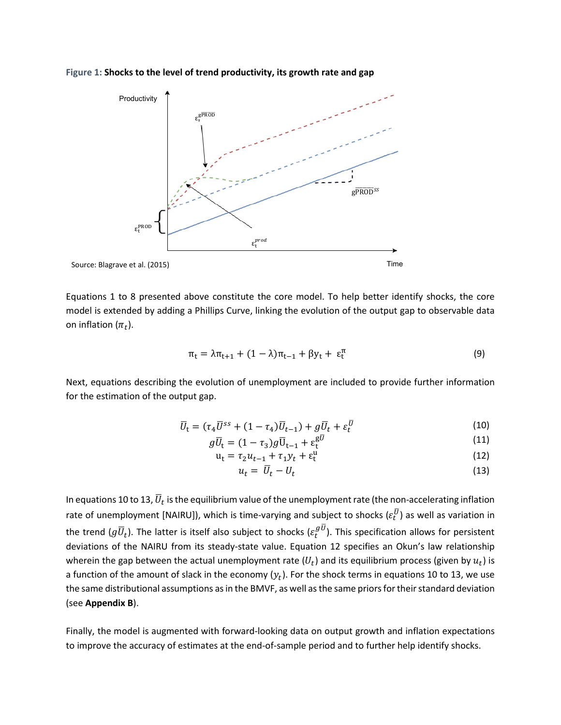



Equations 1 to 8 presented above constitute the core model. To help better identify shocks, the core model is extended by adding a Phillips Curve, linking the evolution of the output gap to observable data on inflation  $(\pi_t)$ .

$$
\pi_t = \lambda \pi_{t+1} + (1 - \lambda) \pi_{t-1} + \beta y_t + \varepsilon_t^{\pi}
$$
\n(9)

Next, equations describing the evolution of unemployment are included to provide further information for the estimation of the output gap.

$$
\overline{U}_t = (\tau_4 \overline{U}^{ss} + (1 - \tau_4) \overline{U}_{t-1}) + g \overline{U}_t + \varepsilon_t^{\overline{U}} \tag{10}
$$

$$
g\overline{U}_t = (1 - \tau_3)g\overline{U}_{t-1} + \varepsilon_t^{g\overline{U}} \tag{11}
$$

$$
\mathbf{u}_{t} = \tau_{2} u_{t-1} + \tau_{1} y_{t} + \varepsilon_{t}^{\mathbf{u}} \tag{12}
$$

$$
u_t = \overline{U}_t - U_t \tag{13}
$$

In equations 10 to 13,  $\bar{U}_t$  is the equilibrium value of the unemployment rate (the non-accelerating inflation rate of unemployment [NAIRU]), which is time-varying and subject to shocks  $(\varepsilon_t^U)$  as well as variation in the trend  $(g\,\overline{U}_t)$ . The latter is itself also subject to shocks ( $\varepsilon^{g\,U}_t$ ). This specification allows for persistent deviations of the NAIRU from its steady-state value. Equation 12 specifies an Okun's law relationship wherein the gap between the actual unemployment rate  $(U_t)$  and its equilibrium process (given by  $u_t$ ) is a function of the amount of slack in the economy  $(y_t)$ . For the shock terms in equations 10 to 13, we use the same distributional assumptions as in the BMVF, as well as the same priors for their standard deviation (see **Appendix B**).

Finally, the model is augmented with forward-looking data on output growth and inflation expectations to improve the accuracy of estimates at the end-of-sample period and to further help identify shocks.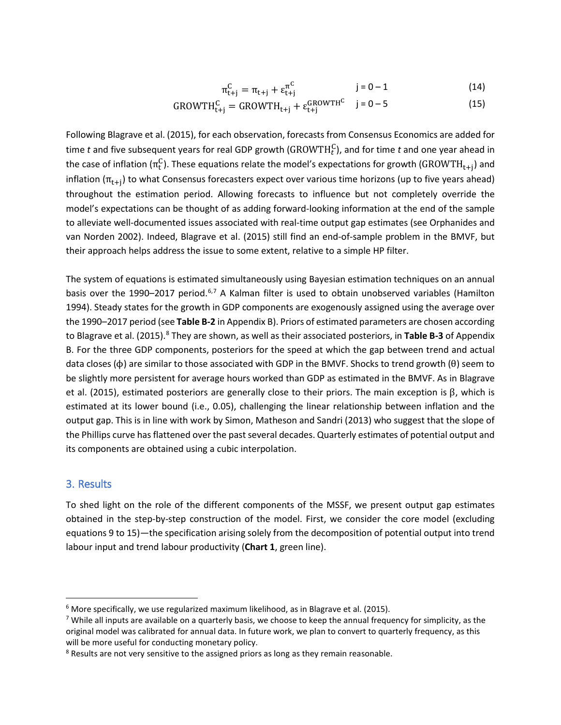$$
\pi_{t+j}^C = \pi_{t+j} + \varepsilon_{t+j}^{\pi^C} \qquad j = 0 - 1 \qquad (14)
$$

$$
GROWTH_{t+j}^{C} = GROWTH_{t+j} + \varepsilon_{t+j}^{GROWTH^{C}} \quad j = 0 - 5
$$
 (15)

Following Blagrave et al. (2015), for each observation, forecasts from Consensus Economics are added for time *t* and five subsequent years for real GDP growth ( $\text{GROWTH}_t^C$ ), and for time *t* and one year ahead in the case of inflation ( $\pi_t^C$ ). These equations relate the model's expectations for growth (GROWTH<sub>t+j</sub>) and inflation ( $\pi_{t+i}$ ) to what Consensus forecasters expect over various time horizons (up to five years ahead) throughout the estimation period. Allowing forecasts to influence but not completely override the model's expectations can be thought of as adding forward-looking information at the end of the sample to alleviate well-documented issues associated with real-time output gap estimates (see Orphanides and van Norden 2002). Indeed, Blagrave et al. (2015) still find an end-of-sample problem in the BMVF, but their approach helps address the issue to some extent, relative to a simple HP filter.

The system of equations is estimated simultaneously using Bayesian estimation techniques on an annual basis over the 1990–2017 period.<sup>[6,](#page-8-0)[7](#page-8-1)</sup> A Kalman filter is used to obtain unobserved variables (Hamilton 1994). Steady states for the growth in GDP components are exogenously assigned using the average over the 1990–2017 period (see **Table B-2** in Appendix B). Priors of estimated parameters are chosen according to Blagrave et al. (2015).<sup>[8](#page-8-2)</sup> They are shown, as well as their associated posteriors, in Table B-3 of Appendix B. For the three GDP components, posteriors for the speed at which the gap between trend and actual data closes (ϕ) are similar to those associated with GDP in the BMVF. Shocks to trend growth (θ) seem to be slightly more persistent for average hours worked than GDP as estimated in the BMVF. As in Blagrave et al. (2015), estimated posteriors are generally close to their priors. The main exception is β, which is estimated at its lower bound (i.e., 0.05), challenging the linear relationship between inflation and the output gap. This is in line with work by Simon, Matheson and Sandri (2013) who suggest that the slope of the Phillips curve has flattened over the past several decades. Quarterly estimates of potential output and its components are obtained using a cubic interpolation.

#### 3. Results

To shed light on the role of the different components of the MSSF, we present output gap estimates obtained in the step-by-step construction of the model. First, we consider the core model (excluding equations 9 to 15)—the specification arising solely from the decomposition of potential output into trend labour input and trend labour productivity (**Chart 1**, green line).

<span id="page-8-0"></span> $6$  More specifically, we use regularized maximum likelihood, as in Blagrave et al. (2015).

<span id="page-8-1"></span> $7$  While all inputs are available on a quarterly basis, we choose to keep the annual frequency for simplicity, as the original model was calibrated for annual data. In future work, we plan to convert to quarterly frequency, as this will be more useful for conducting monetary policy.

<span id="page-8-2"></span><sup>&</sup>lt;sup>8</sup> Results are not very sensitive to the assigned priors as long as they remain reasonable.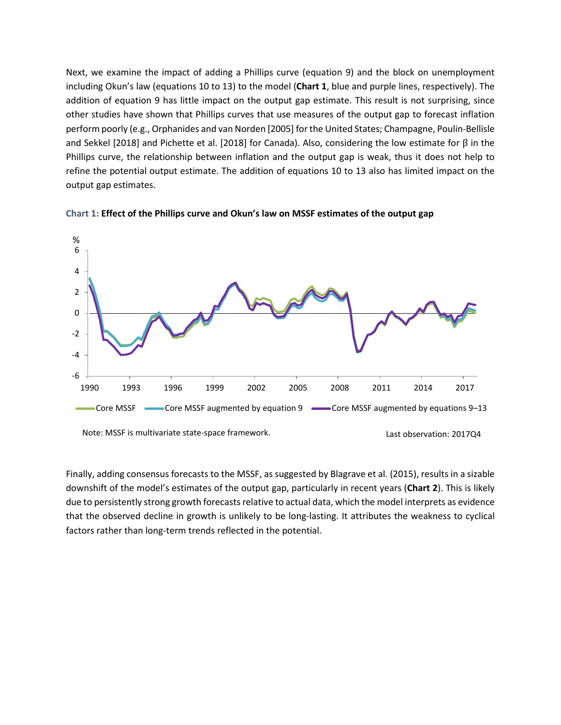Next, we examine the impact of adding a Phillips curve (equation 9) and the block on unemployment including Okun's law (equations 10 to 13) to the model (**Chart 1**, blue and purple lines, respectively). The addition of equation 9 has little impact on the output gap estimate. This result is not surprising, since other studies have shown that Phillips curves that use measures of the output gap to forecast inflation perform poorly (e.g., Orphanides and van Norden [2005] for the United States; Champagne, Poulin-Bellisle and Sekkel [2018] and Pichette et al. [2018] for Canada). Also, considering the low estimate for β in the Phillips curve, the relationship between inflation and the output gap is weak, thus it does not help to refine the potential output estimate. The addition of equations 10 to 13 also has limited impact on the output gap estimates.





Finally, adding consensus forecasts to the MSSF, as suggested by Blagrave et al. (2015), results in a sizable downshift of the model's estimates of the output gap, particularly in recent years (**Chart 2**). This is likely due to persistently strong growth forecasts relative to actual data, which the model interprets as evidence that the observed decline in growth is unlikely to be long-lasting. It attributes the weakness to cyclical factors rather than long-term trends reflected in the potential.

Note: MSSF is multivariate state-space framework. Last observation: 2017Q4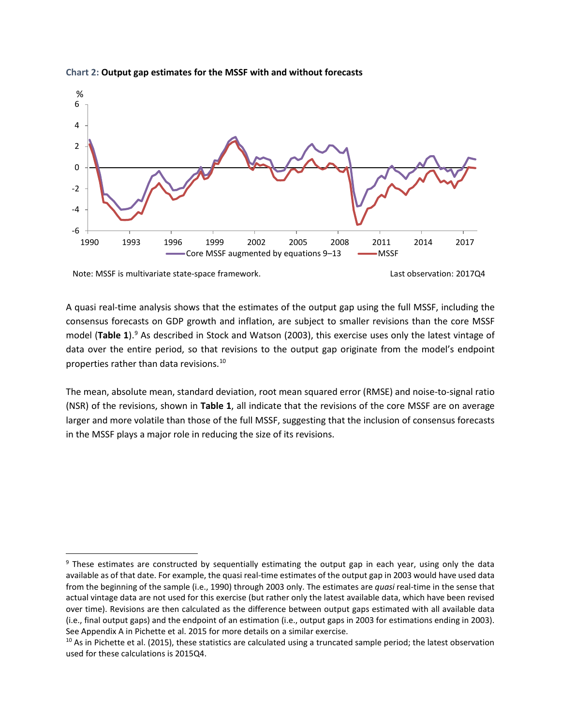

#### **Chart 2: Output gap estimates for the MSSF with and without forecasts**

Note: MSSF is multivariate state-space framework. Last observation: 2017Q4

A quasi real-time analysis shows that the estimates of the output gap using the full MSSF, including the consensus forecasts on GDP growth and inflation, are subject to smaller revisions than the core MSSF model (**Table 1**). [9](#page-10-0) As described in Stock and Watson (2003), this exercise uses only the latest vintage of data over the entire period, so that revisions to the output gap originate from the model's endpoint properties rather than data revisions.[10](#page-10-1)

The mean, absolute mean, standard deviation, root mean squared error (RMSE) and noise-to-signal ratio (NSR) of the revisions, shown in **Table 1**, all indicate that the revisions of the core MSSF are on average larger and more volatile than those of the full MSSF, suggesting that the inclusion of consensus forecasts in the MSSF plays a major role in reducing the size of its revisions.

<span id="page-10-0"></span><sup>&</sup>lt;sup>9</sup> These estimates are constructed by sequentially estimating the output gap in each year, using only the data available as of that date. For example, the quasi real-time estimates of the output gap in 2003 would have used data from the beginning of the sample (i.e., 1990) through 2003 only. The estimates are *quasi* real-time in the sense that actual vintage data are not used for this exercise (but rather only the latest available data, which have been revised over time). Revisions are then calculated as the difference between output gaps estimated with all available data (i.e., final output gaps) and the endpoint of an estimation (i.e., output gaps in 2003 for estimations ending in 2003). See Appendix A in Pichette et al. 2015 for more details on a similar exercise.

<span id="page-10-1"></span> $10$  As in Pichette et al. (2015), these statistics are calculated using a truncated sample period; the latest observation used for these calculations is 2015Q4.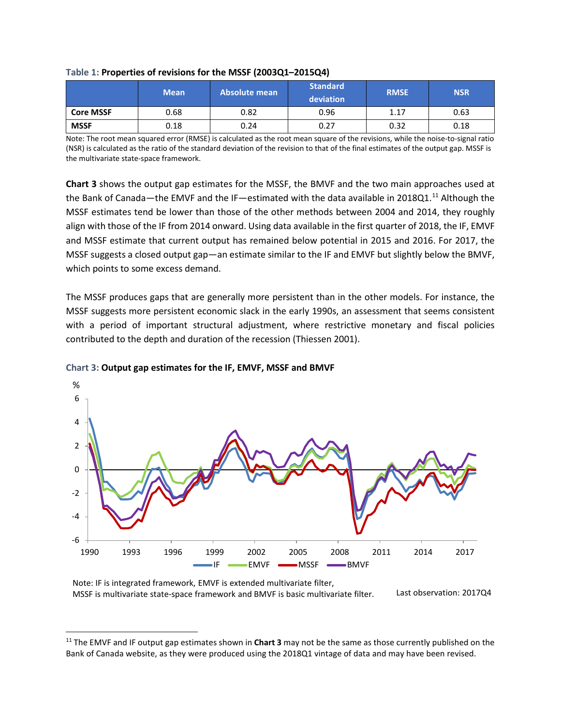|                  | <b>Mean</b> | 'Absolute mean | Standard<br>deviation | <b>RMSE</b> | <b>NSR</b> |
|------------------|-------------|----------------|-----------------------|-------------|------------|
| <b>Core MSSF</b> | 0.68        | 0.82           | 0.96                  | 1.17        | 0.63       |
| <b>MSSF</b>      | 0.18        | 0.24           | 0.27                  | 0.32        | 0.18       |

#### **Table 1: Properties of revisions for the MSSF (2003Q1–2015Q4)**

Note: The root mean squared error (RMSE) is calculated as the root mean square of the revisions, while the noise-to-signal ratio (NSR) is calculated as the ratio of the standard deviation of the revision to that of the final estimates of the output gap. MSSF is the multivariate state-space framework.

**Chart 3** shows the output gap estimates for the MSSF, the BMVF and the two main approaches used at the Bank of Canada—the EMVF and the IF—estimated with the data available in 2018Q1.<sup>[11](#page-11-0)</sup> Although the MSSF estimates tend be lower than those of the other methods between 2004 and 2014, they roughly align with those of the IF from 2014 onward. Using data available in the first quarter of 2018, the IF, EMVF and MSSF estimate that current output has remained below potential in 2015 and 2016. For 2017, the MSSF suggests a closed output gap—an estimate similar to the IF and EMVF but slightly below the BMVF, which points to some excess demand.

The MSSF produces gaps that are generally more persistent than in the other models. For instance, the MSSF suggests more persistent economic slack in the early 1990s, an assessment that seems consistent with a period of important structural adjustment, where restrictive monetary and fiscal policies contributed to the depth and duration of the recession (Thiessen 2001).



#### **Chart 3: Output gap estimates for the IF, EMVF, MSSF and BMVF**

Note: IF is integrated framework, EMVF is extended multivariate filter, MSSF is multivariate state-space framework and BMVF is basic multivariate filter. Last observation: 2017Q4

<span id="page-11-0"></span> <sup>11</sup> The EMVF and IF output gap estimates shown in **Chart 3** may not be the same as those currently published on the Bank of Canada website, as they were produced using the 2018Q1 vintage of data and may have been revised.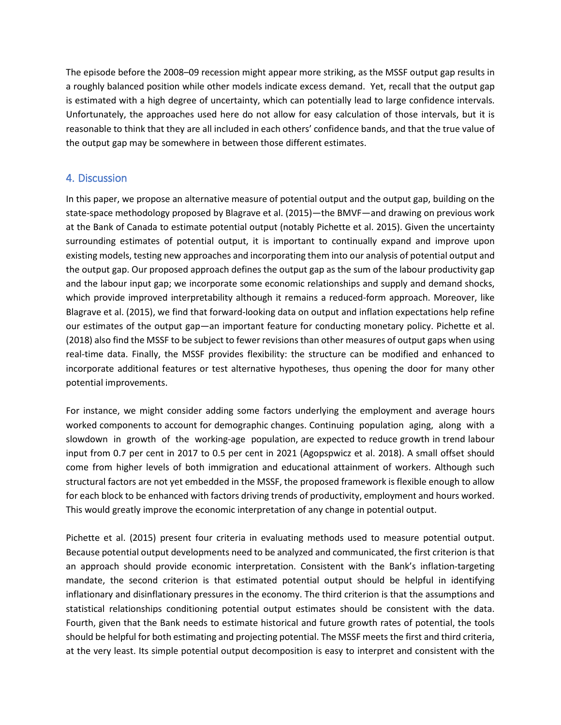The episode before the 2008–09 recession might appear more striking, as the MSSF output gap results in a roughly balanced position while other models indicate excess demand. Yet, recall that the output gap is estimated with a high degree of uncertainty, which can potentially lead to large confidence intervals. Unfortunately, the approaches used here do not allow for easy calculation of those intervals, but it is reasonable to think that they are all included in each others' confidence bands, and that the true value of the output gap may be somewhere in between those different estimates.

### 4. Discussion

In this paper, we propose an alternative measure of potential output and the output gap, building on the state-space methodology proposed by Blagrave et al. (2015)—the BMVF—and drawing on previous work at the Bank of Canada to estimate potential output (notably Pichette et al. 2015). Given the uncertainty surrounding estimates of potential output, it is important to continually expand and improve upon existing models, testing new approaches and incorporating them into our analysis of potential output and the output gap. Our proposed approach defines the output gap as the sum of the labour productivity gap and the labour input gap; we incorporate some economic relationships and supply and demand shocks, which provide improved interpretability although it remains a reduced-form approach. Moreover, like Blagrave et al. (2015), we find that forward-looking data on output and inflation expectations help refine our estimates of the output gap—an important feature for conducting monetary policy. Pichette et al. (2018) also find the MSSF to be subject to fewer revisions than other measures of output gaps when using real-time data. Finally, the MSSF provides flexibility: the structure can be modified and enhanced to incorporate additional features or test alternative hypotheses, thus opening the door for many other potential improvements.

For instance, we might consider adding some factors underlying the employment and average hours worked components to account for demographic changes. Continuing population aging, along with a slowdown in growth of the working-age population, are expected to reduce growth in trend labour input from 0.7 per cent in 2017 to 0.5 per cent in 2021 (Agopspwicz et al. 2018). A small offset should come from higher levels of both immigration and educational attainment of workers. Although such structural factors are not yet embedded in the MSSF, the proposed framework is flexible enough to allow for each block to be enhanced with factors driving trends of productivity, employment and hours worked. This would greatly improve the economic interpretation of any change in potential output.

Pichette et al. (2015) present four criteria in evaluating methods used to measure potential output. Because potential output developments need to be analyzed and communicated, the first criterion is that an approach should provide economic interpretation. Consistent with the Bank's inflation-targeting mandate, the second criterion is that estimated potential output should be helpful in identifying inflationary and disinflationary pressures in the economy. The third criterion is that the assumptions and statistical relationships conditioning potential output estimates should be consistent with the data. Fourth, given that the Bank needs to estimate historical and future growth rates of potential, the tools should be helpful for both estimating and projecting potential. The MSSF meets the first and third criteria, at the very least. Its simple potential output decomposition is easy to interpret and consistent with the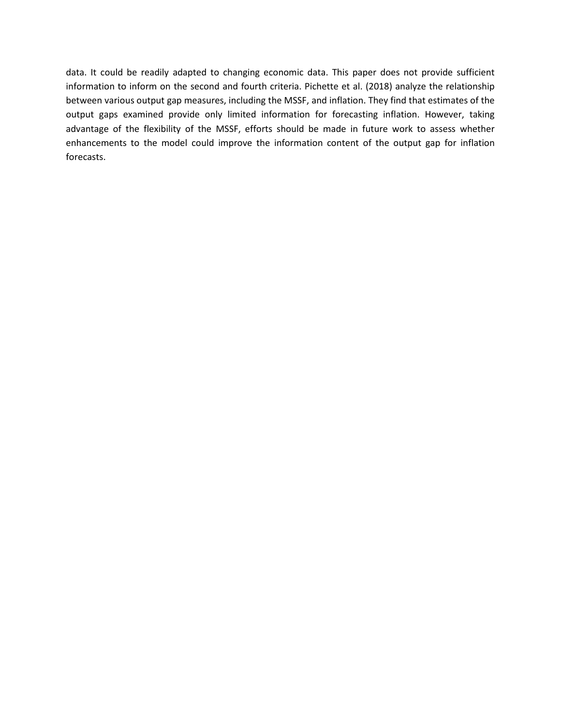data. It could be readily adapted to changing economic data. This paper does not provide sufficient information to inform on the second and fourth criteria. Pichette et al. (2018) analyze the relationship between various output gap measures, including the MSSF, and inflation. They find that estimates of the output gaps examined provide only limited information for forecasting inflation. However, taking advantage of the flexibility of the MSSF, efforts should be made in future work to assess whether enhancements to the model could improve the information content of the output gap for inflation forecasts.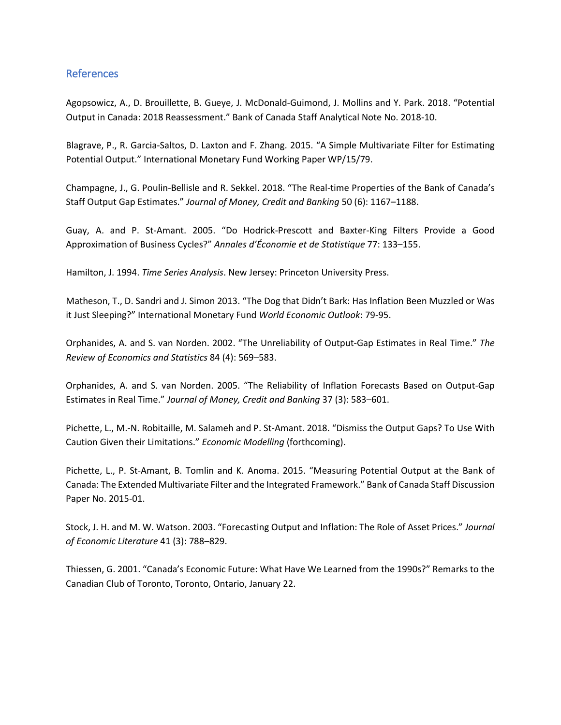### References

Agopsowicz, A., D. Brouillette, B. Gueye, J. McDonald-Guimond, J. Mollins and Y. Park. 2018. "Potential Output in Canada: 2018 Reassessment." Bank of Canada Staff Analytical Note No. 2018-10.

Blagrave, P., R. Garcia-Saltos, D. Laxton and F. Zhang. 2015. "A Simple Multivariate Filter for Estimating Potential Output." International Monetary Fund Working Paper WP/15/79.

Champagne, J., G. Poulin-Bellisle and R. Sekkel. 2018. "The Real-time Properties of the Bank of Canada's Staff Output Gap Estimates." *Journal of Money, Credit and Banking* 50 (6): 1167–1188.

Guay, A. and P. St-Amant. 2005. "Do Hodrick-Prescott and Baxter-King Filters Provide a Good Approximation of Business Cycles?" *Annales d'Économie et de Statistique* 77: 133–155.

Hamilton, J. 1994. *Time Series Analysis*. New Jersey: Princeton University Press.

Matheson, T., D. Sandri and J. Simon 2013. "The Dog that Didn't Bark: Has Inflation Been Muzzled or Was it Just Sleeping?" International Monetary Fund *World Economic Outlook*: 79-95.

Orphanides, A. and S. van Norden. 2002. "The Unreliability of Output-Gap Estimates in Real Time." *The Review of Economics and Statistics* 84 (4): 569–583.

Orphanides, A. and S. van Norden. 2005. "The Reliability of Inflation Forecasts Based on Output-Gap Estimates in Real Time." *Journal of Money, Credit and Banking* 37 (3): 583–601.

Pichette, L., M.-N. Robitaille, M. Salameh and P. St-Amant. 2018. "Dismiss the Output Gaps? To Use With Caution Given their Limitations." *Economic Modelling* (forthcoming).

Pichette, L., P. St-Amant, B. Tomlin and K. Anoma. 2015. "Measuring Potential Output at the Bank of Canada: The Extended Multivariate Filter and the Integrated Framework." Bank of Canada Staff Discussion Paper No. 2015-01.

Stock, J. H. and M. W. Watson. 2003. "Forecasting Output and Inflation: The Role of Asset Prices." *Journal of Economic Literature* 41 (3): 788–829.

Thiessen, G. 2001. "Canada's Economic Future: What Have We Learned from the 1990s?" Remarks to the Canadian Club of Toronto, Toronto, Ontario, January 22.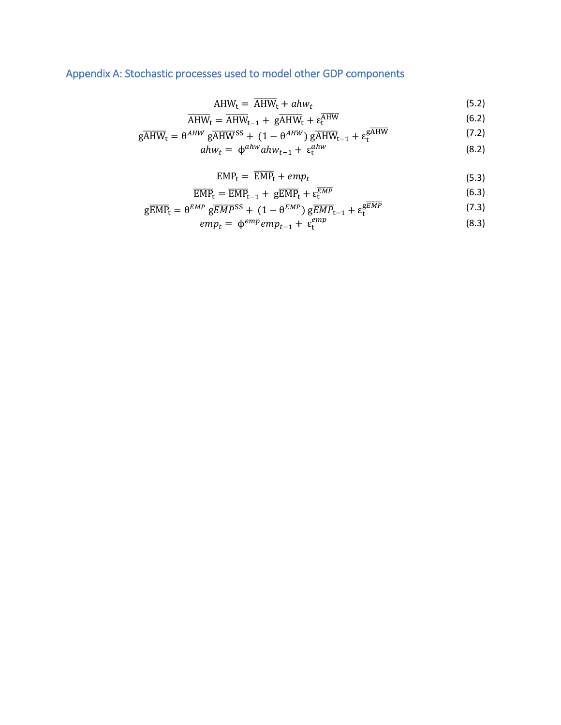# Appendix A: Stochastic processes used to model other GDP components

$$
AHW_t = \overline{AHW}_t + ahw_t \tag{5.2}
$$

$$
\overline{\text{AHW}}_{t} = \overline{\text{AHW}}_{t-1} + \text{g}\overline{\text{AHW}}_{t} + \epsilon_{t}^{\text{AHW}} \tag{6.2}
$$

$$
AHW_{t} = AHW_{t-1} + gAHW_{t} + \varepsilon_{t}^{univ}
$$
\n
$$
g\overline{AHW}_{t} = \theta^{AHW} g\overline{AHW}^{SS} + (1 - \theta^{AHW}) g\overline{AHW}_{t-1} + \varepsilon_{t}^{g\overline{AHW}}
$$
\n
$$
ahw_{t} = \phi^{ahw} ahw_{t-1} + \varepsilon_{t}^{ahw}
$$
\n(8.2)

$$
v_t = \phi^{ahw} ah w_{t-1} + \varepsilon_t^{ahw} \tag{8.2}
$$

$$
EMPt = \overline{EMP}t + empt
$$
 (5.3)

$$
\overline{\text{EMP}}_{t} = \overline{\text{EMP}}_{t-1} + \, g\overline{\text{EMP}}_{t} + \varepsilon_{t}^{\overline{EMP}} \tag{6.3}
$$

$$
g\overline{EMP}_{t} = \theta^{EMP} g\overline{EMP}^{SS} + (1 - \theta^{EMP}) g\overline{EMP}_{t-1} + \varepsilon_{t}^{g\overline{EMP}}
$$
 (7.3)

$$
emp_t = \phi^{emp}emp_{t-1} + \varepsilon_t^{emp} \tag{8.3}
$$